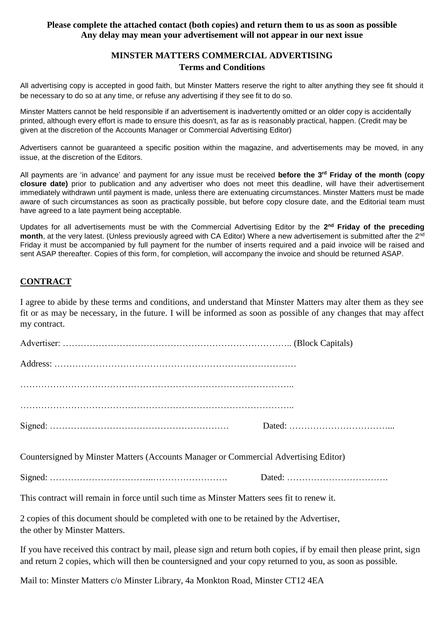### **Please complete the attached contact (both copies) and return them to us as soon as possible Any delay may mean your advertisement will not appear in our next issue**

## **MINSTER MATTERS COMMERCIAL ADVERTISING Terms and Conditions**

All advertising copy is accepted in good faith, but Minster Matters reserve the right to alter anything they see fit should it be necessary to do so at any time, or refuse any advertising if they see fit to do so.

Minster Matters cannot be held responsible if an advertisement is inadvertently omitted or an older copy is accidentally printed, although every effort is made to ensure this doesn't, as far as is reasonably practical, happen. (Credit may be given at the discretion of the Accounts Manager or Commercial Advertising Editor)

Advertisers cannot be guaranteed a specific position within the magazine, and advertisements may be moved, in any issue, at the discretion of the Editors.

All payments are 'in advance' and payment for any issue must be received **before the 3 rd Friday of the month (copy closure date)** prior to publication and any advertiser who does not meet this deadline, will have their advertisement immediately withdrawn until payment is made, unless there are extenuating circumstances. Minster Matters must be made aware of such circumstances as soon as practically possible, but before copy closure date, and the Editorial team must have agreed to a late payment being acceptable.

Updates for all advertisements must be with the Commercial Advertising Editor by the **2 nd Friday of the preceding month**, at the very latest. (Unless previously agreed with CA Editor) Where a new advertisement is submitted after the 2nd Friday it must be accompanied by full payment for the number of inserts required and a paid invoice will be raised and sent ASAP thereafter. Copies of this form, for completion, will accompany the invoice and should be returned ASAP.

# **CONTRACT**

I agree to abide by these terms and conditions, and understand that Minster Matters may alter them as they see fit or as may be necessary, in the future. I will be informed as soon as possible of any changes that may affect my contract.

| Countersigned by Minster Matters (Accounts Manager or Commercial Advertising Editor) |  |
|--------------------------------------------------------------------------------------|--|

Signed: ……………………………..……………………. Dated: …………………………….

This contract will remain in force until such time as Minster Matters sees fit to renew it.

2 copies of this document should be completed with one to be retained by the Advertiser, the other by Minster Matters.

If you have received this contract by mail, please sign and return both copies, if by email then please print, sign and return 2 copies, which will then be countersigned and your copy returned to you, as soon as possible.

Mail to: Minster Matters c/o Minster Library, 4a Monkton Road, Minster CT12 4EA